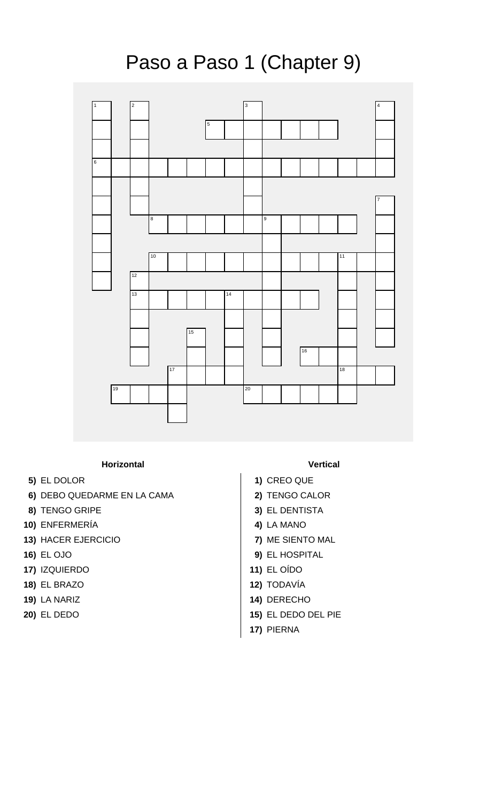Paso a Paso 1 (Chapter 9)



## **Horizontal Vertical**

- 
- **6)** DEBO QUEDARME EN LA CAMA **2)** TENGO CALOR
- **8)** TENGO GRIPE **3)** EL DENTISTA
- **10)** ENFERMERÍA **4)** LA MANO
- **13)** HACER EJERCICIO **7)** ME SIENTO MAL
- 
- **17)** IZQUIERDO **11)** EL OÍDO
- 
- **19)** LA NARIZ **14)** DERECHO
- 

- **5)** EL DOLOR **1)** CREO QUE
	-
	-
	-
	-
- **16)** EL OJO **9)** EL HOSPITAL
	-
- **18)** EL BRAZO **12)** TODAVÍA
	-
- **20)** EL DEDO **15)** EL DEDO DEL PIE
	- **17)** PIERNA